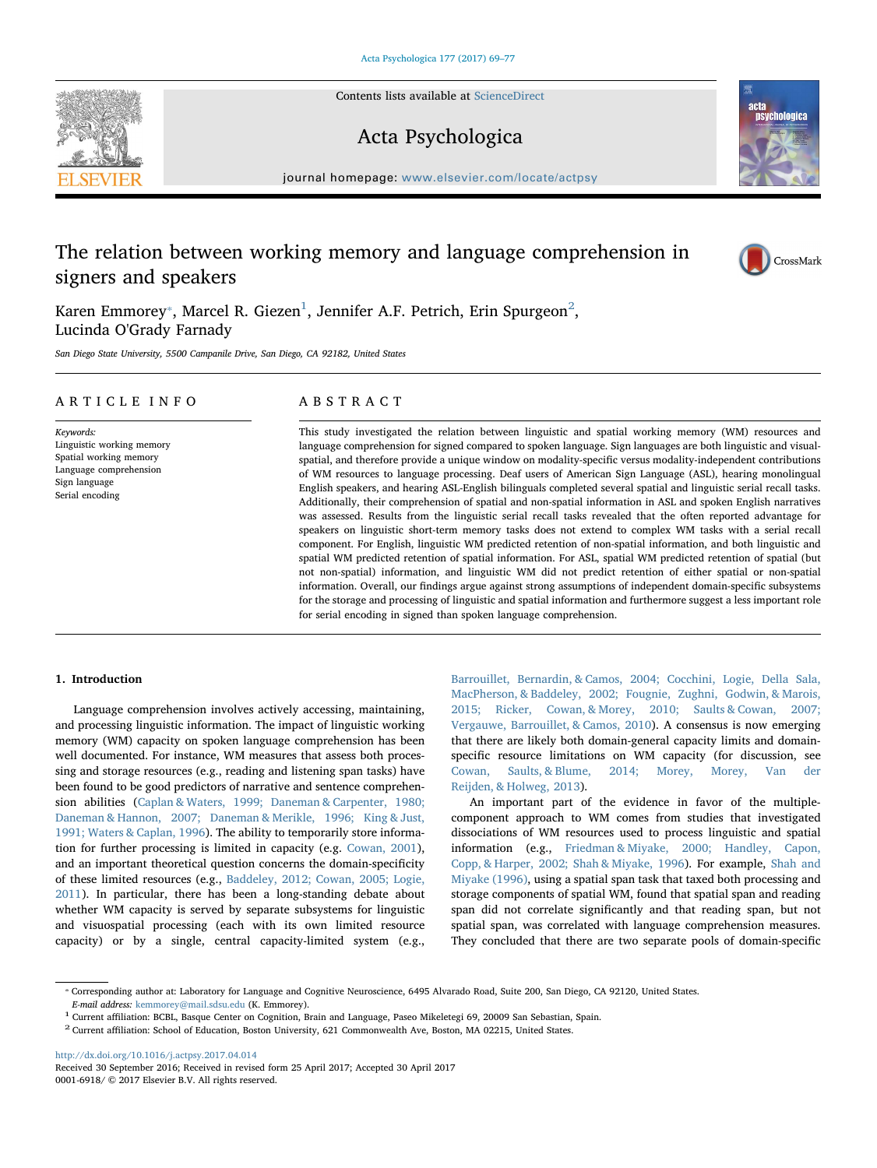Contents lists available at [ScienceDirect](http://www.sciencedirect.com/science/journal/00016918)

## Acta Psychologica

journal homepage: [www.elsevier.com/locate/actpsy](http://www.elsevier.com/locate/actpsy)

## The relation between working memory and language comprehension in signers and speakers

Karen Emmorey $^\ast$ , Marcel R. Giezen $^1$ , Jennifer A.F. Petrich, Erin Spurgeon $^2$ , Lucinda O'Grady Farnady

San Diego State University, 5500 Campanile Drive, San Diego, CA 92182, United States

#### ARTICLE INFO

Keywords: Linguistic working memory Spatial working memory Language comprehension Sign language Serial encoding

#### ABSTRACT

This study investigated the relation between linguistic and spatial working memory (WM) resources and language comprehension for signed compared to spoken language. Sign languages are both linguistic and visualspatial, and therefore provide a unique window on modality-specific versus modality-independent contributions of WM resources to language processing. Deaf users of American Sign Language (ASL), hearing monolingual English speakers, and hearing ASL-English bilinguals completed several spatial and linguistic serial recall tasks. Additionally, their comprehension of spatial and non-spatial information in ASL and spoken English narratives was assessed. Results from the linguistic serial recall tasks revealed that the often reported advantage for speakers on linguistic short-term memory tasks does not extend to complex WM tasks with a serial recall component. For English, linguistic WM predicted retention of non-spatial information, and both linguistic and spatial WM predicted retention of spatial information. For ASL, spatial WM predicted retention of spatial (but not non-spatial) information, and linguistic WM did not predict retention of either spatial or non-spatial information. Overall, our findings argue against strong assumptions of independent domain-specific subsystems for the storage and processing of linguistic and spatial information and furthermore suggest a less important role for serial encoding in signed than spoken language comprehension.

#### 1. Introduction

Language comprehension involves actively accessing, maintaining, and processing linguistic information. The impact of linguistic working memory (WM) capacity on spoken language comprehension has been well documented. For instance, WM measures that assess both processing and storage resources (e.g., reading and listening span tasks) have been found to be good predictors of narrative and sentence comprehension abilities (Caplan & Waters, 1999; Daneman & Carpenter, 1980; Daneman & Hannon, 2007; Daneman & Merikle, 1996; King & Just, 1991; Waters & Caplan, 1996). The ability to temporarily store information for further processing is limited in capacity (e.g. Cowan, 2001), and an important theoretical question concerns the domain-specificity of these limited resources (e.g., Baddeley, 2012; Cowan, 2005; Logie, 2011). In particular, there has been a long-standing debate about whether WM capacity is served by separate subsystems for linguistic and visuospatial processing (each with its own limited resource capacity) or by a single, central capacity-limited system (e.g.,

Barrouillet, Bernardin, & Camos, 2004; Cocchini, Logie, Della Sala, MacPherson, & Baddeley, 2002; Fougnie, Zughni, Godwin, & Marois, 2015; Ricker, Cowan, & Morey, 2010; Saults & Cowan, 2007; Vergauwe, Barrouillet, & Camos, 2010). A consensus is now emerging that there are likely both domain-general capacity limits and domainspecific resource limitations on WM capacity (for discussion, see Cowan, Saults, & Blume, 2014; Morey, Morey, Van der Reijden, & Holweg, 2013).

An important part of the evidence in favor of the multiplecomponent approach to WM comes from studies that investigated dissociations of WM resources used to process linguistic and spatial information (e.g., Friedman & Miyake, 2000; Handley, Capon, Copp, & Harper, 2002; Shah & Miyake, 1996). For example, Shah and Miyake (1996), using a spatial span task that taxed both processing and storage components of spatial WM, found that spatial span and reading span did not correlate significantly and that reading span, but not spatial span, was correlated with language comprehension measures. They concluded that there are two separate pools of domain-specific

<http://dx.doi.org/10.1016/j.actpsy.2017.04.014>







<sup>⁎</sup> Corresponding author at: Laboratory for Language and Cognitive Neuroscience, 6495 Alvarado Road, Suite 200, San Diego, CA 92120, United States. E-mail address: [kemmorey@mail.sdsu.edu](mailto:kemmorey@mail.sdsu.edu) (K. Emmorey).

 $^1$  Current affiliation: BCBL, Basque Center on Cognition, Brain and Language, Paseo Mikeletegi 69, 20009 San Sebastian, Spain. $^2$  Current affiliation: School of Education, Boston University, 621 Commonwealth Ave, Bosto

Received 30 September 2016; Received in revised form 25 April 2017; Accepted 30 April 2017 0001-6918/ © 2017 Elsevier B.V. All rights reserved.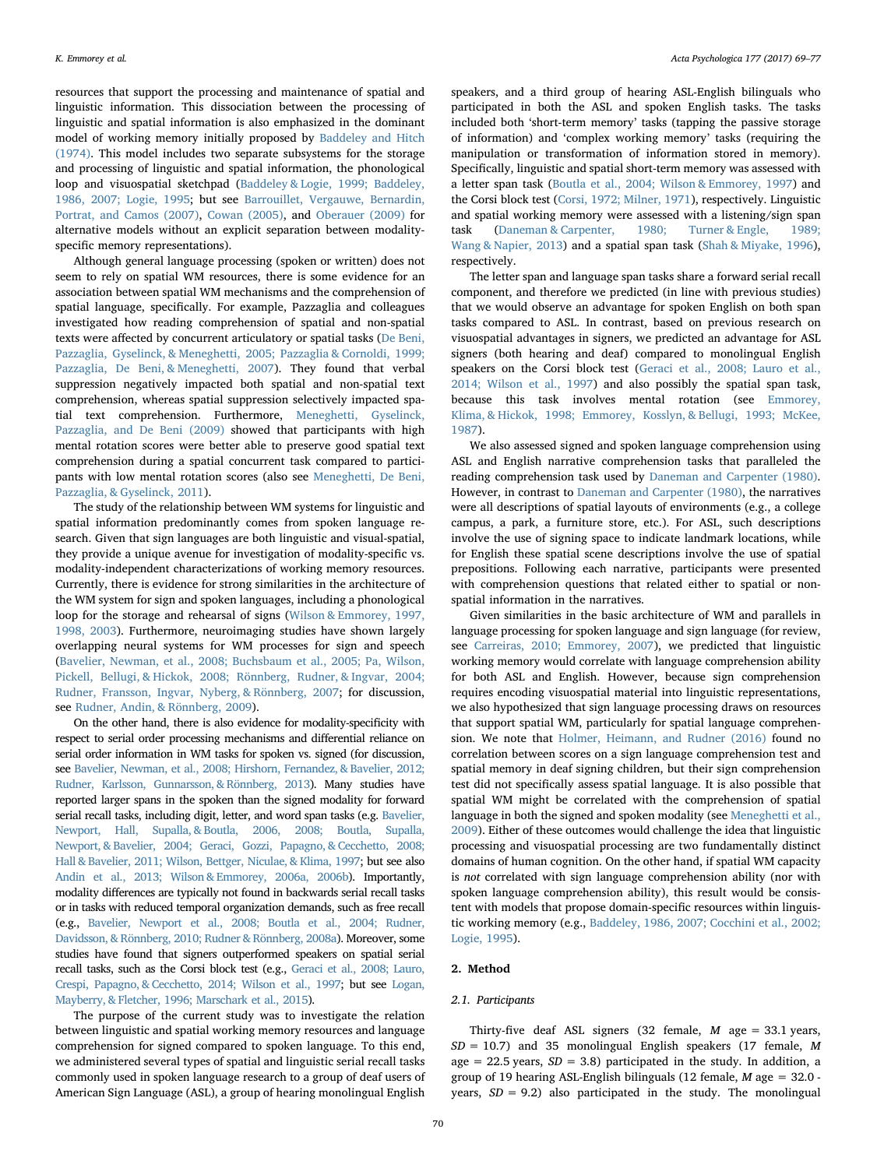resources that support the processing and maintenance of spatial and linguistic information. This dissociation between the processing of linguistic and spatial information is also emphasized in the dominant model of working memory initially proposed by Baddeley and Hitch (1974). This model includes two separate subsystems for the storage and processing of linguistic and spatial information, the phonological loop and visuospatial sketchpad (Baddeley & Logie, 1999; Baddeley, 1986, 2007; Logie, 1995; but see Barrouillet, Vergauwe, Bernardin, Portrat, and Camos (2007), Cowan (2005), and Oberauer (2009) for alternative models without an explicit separation between modalityspecific memory representations).

Although general language processing (spoken or written) does not seem to rely on spatial WM resources, there is some evidence for an association between spatial WM mechanisms and the comprehension of spatial language, specifically. For example, Pazzaglia and colleagues investigated how reading comprehension of spatial and non-spatial texts were affected by concurrent articulatory or spatial tasks (De Beni, Pazzaglia, Gyselinck, & Meneghetti, 2005; Pazzaglia & Cornoldi, 1999; Pazzaglia, De Beni, & Meneghetti, 2007). They found that verbal suppression negatively impacted both spatial and non-spatial text comprehension, whereas spatial suppression selectively impacted spatial text comprehension. Furthermore, Meneghetti, Gyselinck, Pazzaglia, and De Beni (2009) showed that participants with high mental rotation scores were better able to preserve good spatial text comprehension during a spatial concurrent task compared to participants with low mental rotation scores (also see Meneghetti, De Beni, Pazzaglia, & Gyselinck, 2011).

The study of the relationship between WM systems for linguistic and spatial information predominantly comes from spoken language research. Given that sign languages are both linguistic and visual-spatial, they provide a unique avenue for investigation of modality-specific vs. modality-independent characterizations of working memory resources. Currently, there is evidence for strong similarities in the architecture of the WM system for sign and spoken languages, including a phonological loop for the storage and rehearsal of signs (Wilson & Emmorey, 1997, 1998, 2003). Furthermore, neuroimaging studies have shown largely overlapping neural systems for WM processes for sign and speech (Bavelier, Newman, et al., 2008; Buchsbaum et al., 2005; Pa, Wilson, Pickell, Bellugi, & Hickok, 2008; Rönnberg, Rudner, & Ingvar, 2004; Rudner, Fransson, Ingvar, Nyberg, & Rönnberg, 2007; for discussion, see Rudner, Andin, & Rönnberg, 2009).

On the other hand, there is also evidence for modality-specificity with respect to serial order processing mechanisms and differential reliance on serial order information in WM tasks for spoken vs. signed (for discussion, see Bavelier, Newman, et al., 2008; Hirshorn, Fernandez, & Bavelier, 2012; Rudner, Karlsson, Gunnarsson, & Rönnberg, 2013). Many studies have reported larger spans in the spoken than the signed modality for forward serial recall tasks, including digit, letter, and word span tasks (e.g. Bavelier, Newport, Hall, Supalla, & Boutla, 2006, 2008; Boutla, Supalla, Newport, & Bavelier, 2004; Geraci, Gozzi, Papagno, & Cecchetto, 2008; Hall & Bavelier, 2011; Wilson, Bettger, Niculae, & Klima, 1997; but see also Andin et al., 2013; Wilson & Emmorey, 2006a, 2006b). Importantly, modality differences are typically not found in backwards serial recall tasks or in tasks with reduced temporal organization demands, such as free recall (e.g., Bavelier, Newport et al., 2008; Boutla et al., 2004; Rudner, Davidsson, & Rönnberg, 2010; Rudner & Rönnberg, 2008a). Moreover, some studies have found that signers outperformed speakers on spatial serial recall tasks, such as the Corsi block test (e.g., Geraci et al., 2008; Lauro, Crespi, Papagno, & Cecchetto, 2014; Wilson et al., 1997; but see Logan, Mayberry, & Fletcher, 1996; Marschark et al., 2015).

The purpose of the current study was to investigate the relation between linguistic and spatial working memory resources and language comprehension for signed compared to spoken language. To this end, we administered several types of spatial and linguistic serial recall tasks commonly used in spoken language research to a group of deaf users of American Sign Language (ASL), a group of hearing monolingual English

speakers, and a third group of hearing ASL-English bilinguals who participated in both the ASL and spoken English tasks. The tasks included both 'short-term memory' tasks (tapping the passive storage of information) and 'complex working memory' tasks (requiring the manipulation or transformation of information stored in memory). Specifically, linguistic and spatial short-term memory was assessed with a letter span task (Boutla et al., 2004; Wilson & Emmorey, 1997) and the Corsi block test (Corsi, 1972; Milner, 1971), respectively. Linguistic and spatial working memory were assessed with a listening/sign span task (Daneman & Carpenter, 1980; Turner & Engle, 1989; Wang & Napier, 2013) and a spatial span task (Shah & Miyake, 1996), respectively.

The letter span and language span tasks share a forward serial recall component, and therefore we predicted (in line with previous studies) that we would observe an advantage for spoken English on both span tasks compared to ASL. In contrast, based on previous research on visuospatial advantages in signers, we predicted an advantage for ASL signers (both hearing and deaf) compared to monolingual English speakers on the Corsi block test (Geraci et al., 2008; Lauro et al., 2014; Wilson et al., 1997) and also possibly the spatial span task, because this task involves mental rotation (see Emmorey, Klima, & Hickok, 1998; Emmorey, Kosslyn, & Bellugi, 1993; McKee, 1987).

We also assessed signed and spoken language comprehension using ASL and English narrative comprehension tasks that paralleled the reading comprehension task used by Daneman and Carpenter (1980). However, in contrast to Daneman and Carpenter (1980), the narratives were all descriptions of spatial layouts of environments (e.g., a college campus, a park, a furniture store, etc.). For ASL, such descriptions involve the use of signing space to indicate landmark locations, while for English these spatial scene descriptions involve the use of spatial prepositions. Following each narrative, participants were presented with comprehension questions that related either to spatial or nonspatial information in the narratives.

Given similarities in the basic architecture of WM and parallels in language processing for spoken language and sign language (for review, see Carreiras, 2010; Emmorey, 2007), we predicted that linguistic working memory would correlate with language comprehension ability for both ASL and English. However, because sign comprehension requires encoding visuospatial material into linguistic representations, we also hypothesized that sign language processing draws on resources that support spatial WM, particularly for spatial language comprehension. We note that Holmer, Heimann, and Rudner (2016) found no correlation between scores on a sign language comprehension test and spatial memory in deaf signing children, but their sign comprehension test did not specifically assess spatial language. It is also possible that spatial WM might be correlated with the comprehension of spatial language in both the signed and spoken modality (see Meneghetti et al., 2009). Either of these outcomes would challenge the idea that linguistic processing and visuospatial processing are two fundamentally distinct domains of human cognition. On the other hand, if spatial WM capacity is not correlated with sign language comprehension ability (nor with spoken language comprehension ability), this result would be consistent with models that propose domain-specific resources within linguistic working memory (e.g., Baddeley, 1986, 2007; Cocchini et al., 2002; Logie, 1995).

### 2. Method

#### 2.1. Participants

Thirty-five deaf ASL signers (32 female,  $M$  age = 33.1 years,  $SD = 10.7$ ) and 35 monolingual English speakers (17 female, M age = 22.5 years,  $SD = 3.8$ ) participated in the study. In addition, a group of 19 hearing ASL-English bilinguals (12 female, M age = 32.0 years,  $SD = 9.2$ ) also participated in the study. The monolingual